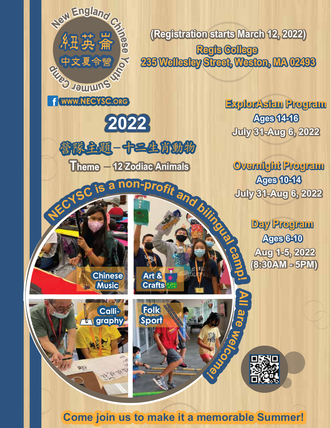**Regis College 235 Wellesley Street, Weston, MA 02493 (Registration starts March 12, 2022)**

**cam**

**ExplorAsian Program July 31-Aug 6, 2022 Ages 14-16**

Ulleme C is a non-profit and bitting **July 31-Aug 6, 2022 Ages 10-14 Overnight Program**

**p! Ages 6-10 Day Program Aug 1-5, 2022 (8:30AM - 5PM)**

**All Folk** Calli**a** Sport **graphy re**  $\sum_{i=1}^{\infty}$  $\tilde{\sigma}$ **b** \*28 北京安 **Come join us to make it a memorable Summer!**

Art & **Crafts** 

**Chinese Music**

f **WWW.NECYSC.ORG**

**uS C<sup>r</sup> <sup>e</sup> m<sup>m</sup>**

**<sup>m</sup><sup>a</sup> p**

 $\frac{1}{2}$ **C**<br> **A**<br> **H**<br> **H**<br> **H**<br> **H**<br> **H**<br> **H**<br> **C**<br> **C**<br> **H** 

**e**

**You**

**2022**

**管隊主題-中三生賞動物** 

Theme - 12 Zodiac Animals

 $\mathcal{G}$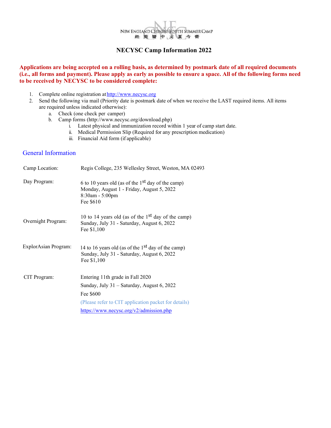

#### **NECYSC Camp Information 2022**

#### **Applications are being accepted on a rolling basis, as determined by postmark date of all required documents (i.e., all forms and payment). Please apply as early as possible to ensure a space. All of the following forms need to be received by NECYSC to be considered complete:**

- 1. Complete online registration at http://www.necysc.org
- 2. Send the following via mail (Priority date is postmark date of when we receive the LAST required items. All items are required unless indicated otherwise):
	- a. Check (one check per camper)
	- b. Camp forms (http://www.necysc.org/download.php)
		- i. Latest physical and immunization record within 1 year of camp start date.
		- ii. Medical Permission Slip (Required for any prescription medication)
		- iii. Financial Aid form (if applicable)

## General Information

| Camp Location:       | Regis College, 235 Wellesley Street, Weston, MA 02493                                                                                                                                          |
|----------------------|------------------------------------------------------------------------------------------------------------------------------------------------------------------------------------------------|
| Day Program:         | 6 to 10 years old (as of the $1st$ day of the camp)<br>Monday, August 1 - Friday, August 5, 2022<br>$8:30$ am - 5:00pm<br>Fee \$610                                                            |
| Overnight Program:   | 10 to 14 years old (as of the $1st$ day of the camp)<br>Sunday, July 31 - Saturday, August 6, 2022<br>Fee \$1,100                                                                              |
| ExplorAsian Program: | 14 to 16 years old (as of the $1st$ day of the camp)<br>Sunday, July 31 - Saturday, August 6, 2022<br>Fee \$1,100                                                                              |
| CIT Program:         | Entering 11th grade in Fall 2020<br>Sunday, July 31 - Saturday, August 6, 2022<br>Fee \$600<br>(Please refer to CIT application packet for details)<br>https://www.necysc.org/v2/admission.php |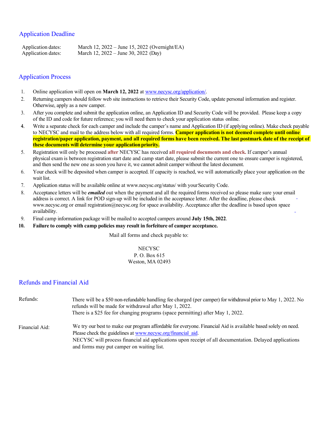## Application Deadline

Application dates: March 12, 2022 – June 15, 2022 (Overnight/EA) Application dates: March 12, 2022 – June 30, 2022 (Day)

#### Application Process

- 1. Online application will open on **March 12, 2022** at www.necysc.org/application/.
- 2. Returning campers should follow web site instructions to retrieve their Security Code, update personal information and register. Otherwise, apply as a new camper.
- 3. After you complete and submit the application online, an Application ID and Security Code will be provided. Please keep a copy of the ID and code for future reference; you will need them to check your application status online.
- 4. Write a separate check for each camper and include the camper's name and Application ID (if applying online). Make check payable to NECYSC and mail to the address below with all required forms. **Camper application is not deemed complete until online registration/paper application, payment, and all required forms have been received. The last postmark date of the receipt of these documents will determine your application priority.**
- 5. Registration will only be processed **after** NECYSC has received **all required documents and check.** If camper's annual physical exam is between registration start date and camp start date, please submit the current one to ensure camper is registered, and then send the new one as soon you have it, we cannot admit camper without the latest document.
- 6. Your check will be deposited when camper is accepted. If capacity is reached, we will automatically place your application on the wait list.
- 7. Application status will be available online at www.necysc.org/status/ with your Security Code.
- 8. Acceptance letters will be *emailed* out when the payment and all the required forms received so please make sure your email address is correct. A link for POD sign-up will be included in the acceptance letter. After the deadline, please check www.necysc.org or email registration@necysc.org for space availability. Acceptance after the deadline is based upon space availability.
- 9. Final camp information package will be mailed to accepted campers around **July 15th, 2022**.
- **10. Failure to comply with camp policies may result in forfeiture of camper acceptance.**

Mail all forms and check payable to:

# **NECYSC**

#### P. O. Box 615 Weston, MA 02493

## Refunds and Financial Aid

| Refunds:       | There will be a \$50 non-refundable handling fee charged (per camper) for withdrawal prior to May 1, 2022. No<br>refunds will be made for withdrawal after May 1, 2022. |  |  |  |  |  |
|----------------|-------------------------------------------------------------------------------------------------------------------------------------------------------------------------|--|--|--|--|--|
|                | There is a \$25 fee for changing programs (space permitting) after May 1, 2022.                                                                                         |  |  |  |  |  |
| Financial Aid: | We try our best to make our program affordable for everyone. Financial Aid is available based solely on need.                                                           |  |  |  |  |  |
|                | Please check the guidelines at www.necysc.org/financial aid.                                                                                                            |  |  |  |  |  |
|                | NECYSC will process financial aid applications upon receipt of all documentation. Delayed applications                                                                  |  |  |  |  |  |
|                | and forms may put camper on waiting list.                                                                                                                               |  |  |  |  |  |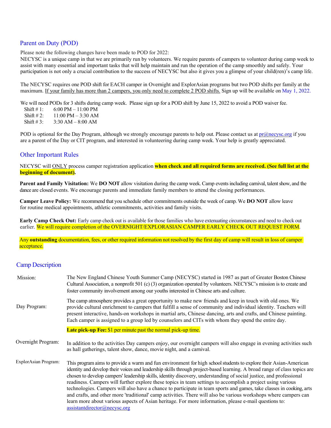## Parent on Duty (POD)

Please note the following changes have been made to POD for 2022:

NECYSC is a unique camp in that we are primarily run by volunteers. We require parents of campers to volunteer during camp week to assist with many essential and important tasks that will help maintain and run the operation of the camp smoothly and safely. Your participation is not only a crucial contribution to the success of NECYSC but also it gives you a glimpse of your child(ren)'s camp life.

The NECYSC requires one POD shift for EACH camper in Overnight and ExplorAsian programs but two POD shifts per family at the maximum. If your family has more than 2 campers, you only need to complete 2 POD shifts. Sign up will be available on May 1, 2022.

We will need PODs for 3 shifts during camp week. Please sign up for a POD shift by June 15, 2022 to avoid a POD waiver fee.

Shift # 1: 6:00 PM – 11:00 PM

Shift #2:  $11:00 \text{ PM} - 3:30 \text{ AM}$ 

Shift # 3:  $3:30$  AM – 8:00 AM

POD is optional for the Day Program, although we strongly encourage parents to help out. Please contact us at  $pr@nexpec.org$  if you are a parent of the Day or CIT program, and interested in volunteering during camp week. Your help is greatly appreciated.

#### Other Important Rules

NECYSC will ONLY process camper registration application **when check and all required forms are received. (See full list at the beginning of document).** 

**Parent and Family Visitation:** We **DO NOT** allow visitation during the camp week. Camp events including carnival, talent show, and the dance are closed events. We encourage parents and immediate family members to attend the closing performances.

**Camper Leave Policy:** We recommend that you schedule other commitments outside the week of camp. We **DO NOT** allow leave for routine medical appointments, athletic commitments, activities and family visits.

**Early Camp Check Out:** Early camp check out is available for those families who have extenuating circumstances and need to check out earlier. We will require completion of the OVERNIGHT/EXPLORASIAN CAMPER EARLY CHECK OUT REQUEST FORM.

Any **outstanding** documentation, fees, or other required information not resolved by the first day of camp will result in loss of camper acceptance.

## Camp Description

| Mission:             | The New England Chinese Youth Summer Camp (NECYSC) started in 1987 as part of Greater Boston Chinese<br>Cultural Association, a nonprofit 501 (c) (3) organization operated by volunteers. NECYSC's mission is to create and<br>foster community involvement among our youths interested in Chinese arts and culture.                                                                                                                                                                                                                                                                                                                                                                                                                                                                                                                                                    |
|----------------------|--------------------------------------------------------------------------------------------------------------------------------------------------------------------------------------------------------------------------------------------------------------------------------------------------------------------------------------------------------------------------------------------------------------------------------------------------------------------------------------------------------------------------------------------------------------------------------------------------------------------------------------------------------------------------------------------------------------------------------------------------------------------------------------------------------------------------------------------------------------------------|
| Day Program:         | The camp atmosphere provides a great opportunity to make new friends and keep in touch with old ones. We<br>provide cultural enrichment to campers that fulfill a sense of community and individual identity. Teachers will<br>present interactive, hands-on workshops in martial arts, Chinese dancing, arts and crafts, and Chinese painting.<br>Each camper is assigned to a group led by counselors and CITs with whom they spend the entire day.                                                                                                                                                                                                                                                                                                                                                                                                                    |
|                      | <b>Late pick-up Fee:</b> \$1 per minute past the normal pick-up time.                                                                                                                                                                                                                                                                                                                                                                                                                                                                                                                                                                                                                                                                                                                                                                                                    |
| Overnight Program:   | In addition to the activities Day campers enjoy, our overnight campers will also engage in evening activities such<br>as hall gatherings, talent show, dance, movie night, and a carnival.                                                                                                                                                                                                                                                                                                                                                                                                                                                                                                                                                                                                                                                                               |
| ExplorAsian Program: | This program aims to provide a warm and fun environment for high school students to explore their Asian-American<br>identity and develop their voices and leadership skills through project-based learning. A broad range of class topics are<br>chosen to develop campers' leadership skills, identity discovery, understanding of social justice, and professional<br>readiness. Campers will further explore these topics in team settings to accomplish a project using various<br>technologies. Campers will also have a chance to participate in team sports and games, take classes in cooking, arts<br>and crafts, and other more 'traditional' camp activities. There will also be various workshops where campers can<br>learn more about various aspects of Asian heritage. For more information, please e-mail questions to:<br>assistantdirector@necysc.org |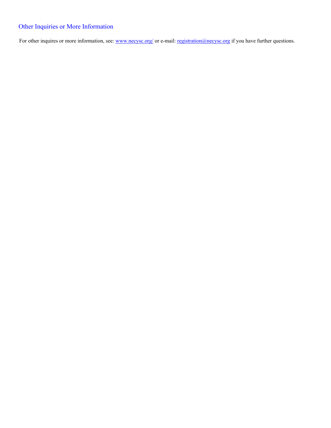# Other Inquiries or More Information

For other inquires or more information, see: www.necysc.org/ or e-mail: registration@necysc.org if you have further questions.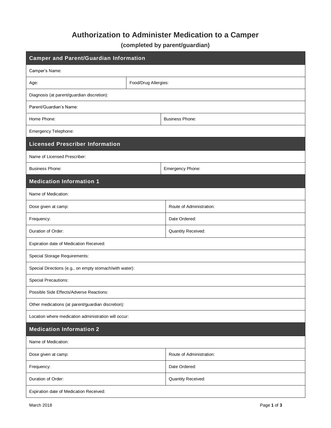# **Authorization to Administer Medication to a Camper**

**(completed by parent/guardian)** 

| <b>Camper and Parent/Guardian Information</b>           |                      |                          |  |  |  |  |  |
|---------------------------------------------------------|----------------------|--------------------------|--|--|--|--|--|
| Camper's Name:                                          |                      |                          |  |  |  |  |  |
| Age:                                                    | Food/Drug Allergies: |                          |  |  |  |  |  |
| Diagnosis (at parent/guardian discretion):              |                      |                          |  |  |  |  |  |
| Parent/Guardian's Name:                                 |                      |                          |  |  |  |  |  |
| Home Phone:                                             |                      | <b>Business Phone:</b>   |  |  |  |  |  |
| Emergency Telephone:                                    |                      |                          |  |  |  |  |  |
| <b>Licensed Prescriber Information</b>                  |                      |                          |  |  |  |  |  |
| Name of Licensed Prescriber:                            |                      |                          |  |  |  |  |  |
| <b>Business Phone:</b>                                  |                      | Emergency Phone:         |  |  |  |  |  |
| <b>Medication Information 1</b>                         |                      |                          |  |  |  |  |  |
| Name of Medication:                                     |                      |                          |  |  |  |  |  |
| Dose given at camp:                                     |                      | Route of Administration: |  |  |  |  |  |
| Frequency:                                              |                      | Date Ordered:            |  |  |  |  |  |
| Duration of Order:                                      |                      | Quantity Received:       |  |  |  |  |  |
| Expiration date of Medication Received:                 |                      |                          |  |  |  |  |  |
| <b>Special Storage Requirements:</b>                    |                      |                          |  |  |  |  |  |
| Special Directions (e.g., on empty stomach/with water): |                      |                          |  |  |  |  |  |
| <b>Special Precautions:</b>                             |                      |                          |  |  |  |  |  |
| Possible Side Effects/Adverse Reactions:                |                      |                          |  |  |  |  |  |
| Other medications (at parent/guardian discretion):      |                      |                          |  |  |  |  |  |
| Location where medication administration will occur:    |                      |                          |  |  |  |  |  |
| <b>Medication Information 2</b>                         |                      |                          |  |  |  |  |  |
| Name of Medication:                                     |                      |                          |  |  |  |  |  |
| Dose given at camp:                                     |                      | Route of Administration: |  |  |  |  |  |
| Frequency:                                              |                      | Date Ordered:            |  |  |  |  |  |
| Duration of Order:                                      |                      | Quantity Received:       |  |  |  |  |  |
| Expiration date of Medication Received:                 |                      |                          |  |  |  |  |  |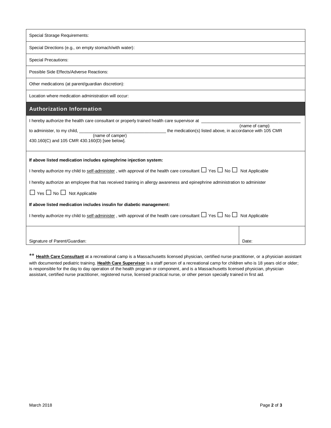| Special Storage Requirements:                                                                                                                                                                                                                                                                                                                                                                                                                                                                                                                                                                              |                |  |  |  |  |  |
|------------------------------------------------------------------------------------------------------------------------------------------------------------------------------------------------------------------------------------------------------------------------------------------------------------------------------------------------------------------------------------------------------------------------------------------------------------------------------------------------------------------------------------------------------------------------------------------------------------|----------------|--|--|--|--|--|
| Special Directions (e.g., on empty stomach/with water):                                                                                                                                                                                                                                                                                                                                                                                                                                                                                                                                                    |                |  |  |  |  |  |
| Special Precautions:                                                                                                                                                                                                                                                                                                                                                                                                                                                                                                                                                                                       |                |  |  |  |  |  |
| Possible Side Effects/Adverse Reactions:                                                                                                                                                                                                                                                                                                                                                                                                                                                                                                                                                                   |                |  |  |  |  |  |
| Other medications (at parent/guardian discretion):                                                                                                                                                                                                                                                                                                                                                                                                                                                                                                                                                         |                |  |  |  |  |  |
| Location where medication administration will occur:                                                                                                                                                                                                                                                                                                                                                                                                                                                                                                                                                       |                |  |  |  |  |  |
| <b>Authorization Information</b>                                                                                                                                                                                                                                                                                                                                                                                                                                                                                                                                                                           |                |  |  |  |  |  |
| I hereby authorize the health care consultant or properly trained health care supervisor at<br>the medication(s) listed above, in accordance with 105 CMR<br>430.160(C) and 105 CMR 430.160(D) [see below].                                                                                                                                                                                                                                                                                                                                                                                                | (name of camp) |  |  |  |  |  |
| If above listed medication includes epinephrine injection system:<br>I hereby authorize my child to self-administer, with approval of the health care consultant $\Box$ Yes $\Box$ No $\Box$ Not Applicable<br>I hereby authorize an employee that has received training in allergy awareness and epinephrine administration to administer<br>$\Box$ Yes $\Box$ No $\Box$ Not Applicable<br>If above listed medication includes insulin for diabetic management:<br>I hereby authorize my child to self-administer, with approval of the health care consultant $\Box$ Yes $\Box$ No $\Box$ Not Applicable |                |  |  |  |  |  |
| Signature of Parent/Guardian:                                                                                                                                                                                                                                                                                                                                                                                                                                                                                                                                                                              | Date:          |  |  |  |  |  |

\*\* **Health Care Consultant** at a recreational camp is a Massachusetts licensed physician, certified nurse practitioner, or a physician assistant with documented pediatric training. **Health Care Supervisor** is a staff person of a recreational camp for children who is 18 years old or older; is responsible for the day to day operation of the health program or component, and is a Massachusetts licensed physician, physician assistant, certified nurse practitioner, registered nurse, licensed practical nurse, or other person specially trained in first aid.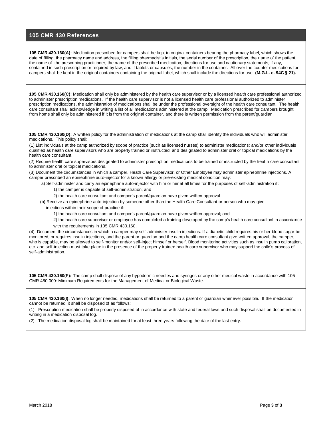#### **105 CMR 430 References**

**105 CMR 430.160(A):** Medication prescribed for campers shall be kept in original containers bearing the pharmacy label, which shows the date of filling, the pharmacy name and address, the filling pharmacist's initials, the serial number of the prescription, the name of the patient, the name of the prescribing practitioner, the name of the prescribed medication, directions for use and cautionary statements, if any, contained in such prescription or required by law, and if tablets or capsules, the number in the container. All over the counter medications for campers shall be kept in the original containers containing the original label, which shall include the directions for use. **(M.G.L. c. 94C § 21).**

**105 CMR 430.160(C):** Medication shall only be administered by the health care supervisor or by a licensed health care professional authorized to administer prescription medications. If the health care supervisor is not a licensed health care professional authorized to administer prescription medications, the administration of medications shall be under the professional oversight of the health care consultant. The health care consultant shall acknowledge in writing a list of all medications administered at the camp. Medication prescribed for campers brought from home shall only be administered if it is from the original container, and there is written permission from the parent/guardian.

**105 CMR 430.160(D):** A written policy for the administration of medications at the camp shall identify the individuals who will administer medications. This policy shall:

(1) List individuals at the camp authorized by scope of practice (such as licensed nurses) to administer medications; and/or other individuals qualified as health care supervisors who are properly trained or instructed, and designated to administer oral or topical medications by the health care consultant.

(2) Require health care supervisors designated to administer prescription medications to be trained or instructed by the health care consultant to administer oral or topical medications.

(3) Document the circumstances in which a camper, Heath Care Supervisor, or Other Employee may administer epinephrine injections. A camper prescribed an epinephrine auto-injector for a known allergy or pre-existing medical condition may:

a) Self-administer and carry an epinephrine auto-injector with him or her at all times for the purposes of self-administration if:

1) the camper is capable of self-administration; and

2) the health care consultant and camper's parent/guardian have given written approval

 (b) Receive an epinephrine auto-injection by someone other than the Health Care Consultant or person who may give injections within their scope of practice if:

1) the health care consultant and camper's parent/guardian have given written approval; and

 2) the health care supervisor or employee has completed a training developed by the camp's health care consultant in accordance with the requirements in 105 CMR 430.160.

(4) Document the circumstances in which a camper may self-administer insulin injections. If a diabetic child requires his or her blood sugar be monitored, or requires insulin injections, and the parent or guardian and the camp health care consultant give written approval, the camper, who is capable, may be allowed to self-monitor and/or self-inject himself or herself. Blood monitoring activities such as insulin pump calibration, etc. and self-injection must take place in the presence of the properly trained health care supervisor who may support the child's process of self-administration.

**105 CMR 430.160(F):** The camp shall dispose of any hypodermic needles and syringes or any other medical waste in accordance with 105 CMR 480.000: Minimum Requirements for the Management of Medical or Biological Waste.

**105 CMR 430.160(I):** When no longer needed, medications shall be returned to a parent or guardian whenever possible. If the medication cannot be returned, it shall be disposed of as follows:

(1) Prescription medication shall be properly disposed of in accordance with state and federal laws and such disposal shall be documented in writing in a medication disposal log.

(2) The medication disposal log shall be maintained for at least three years following the date of the last entry.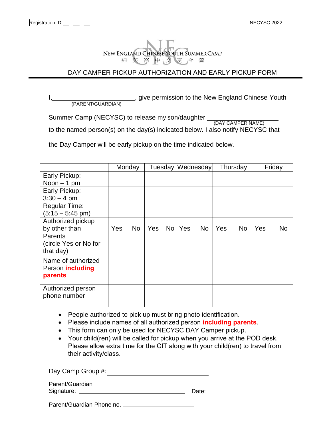

# DAY CAMPER PICKUP AUTHORIZATION AND EARLY PICKUP FORM

I, 1. All encodes the New England Chinese Youth (PARENT/GUARDIAN)

Summer Camp (NECYSC) to release my son/daughter (DAY CAMPER NAME)

to the named person(s) on the day(s) indicated below. I also notify NECYSC that

the Day Camper will be early pickup on the time indicated below.

|                                                                                            | Monday |           |     |  | Tuesday Wednesday |    | Thursday |     | Friday |    |
|--------------------------------------------------------------------------------------------|--------|-----------|-----|--|-------------------|----|----------|-----|--------|----|
| Early Pickup:                                                                              |        |           |     |  |                   |    |          |     |        |    |
| Noon $-1$ pm                                                                               |        |           |     |  |                   |    |          |     |        |    |
| Early Pickup:                                                                              |        |           |     |  |                   |    |          |     |        |    |
| $3:30 - 4$ pm                                                                              |        |           |     |  |                   |    |          |     |        |    |
| <b>Regular Time:</b>                                                                       |        |           |     |  |                   |    |          |     |        |    |
| $(5:15 - 5:45 \text{ pm})$                                                                 |        |           |     |  |                   |    |          |     |        |    |
| Authorized pickup<br>by other than<br><b>Parents</b><br>(circle Yes or No for<br>that day) | Yes    | <b>No</b> | Yes |  | No   Yes          | No | Yes      | No. | Yes    | No |
| Name of authorized<br>Person <b>including</b><br>parents                                   |        |           |     |  |                   |    |          |     |        |    |
| Authorized person<br>phone number                                                          |        |           |     |  |                   |    |          |     |        |    |

- People authorized to pick up must bring photo identification.
- Please include names of all authorized person **including parents**.
- This form can only be used for NECYSC DAY Camper pickup.
- Your child(ren) will be called for pickup when you arrive at the POD desk. Please allow extra time for the CIT along with your child(ren) to travel from their activity/class.

Date: Signature: Day Camp Group #: Parent/Guardian

Parent/Guardian Phone no.